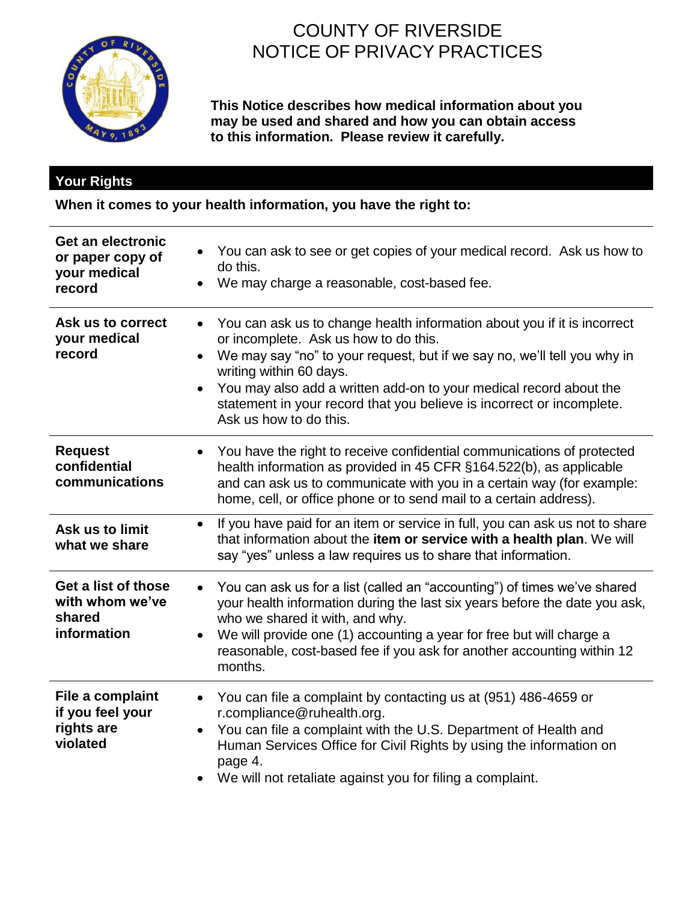

# COUNTY OF RIVERSIDE NOTICE OF PRIVACY PRACTICES

**This Notice describes how medical information about you may be used and shared and how you can obtain access to this information. Please review it carefully.**

## **Your Rights**

**When it comes to your health information, you have the right to:**

| Get an electronic<br>or paper copy of<br>your medical<br>record | You can ask to see or get copies of your medical record. Ask us how to<br>do this.<br>We may charge a reasonable, cost-based fee.<br>$\bullet$                                                                                                                                                                                                                                                                                           |
|-----------------------------------------------------------------|------------------------------------------------------------------------------------------------------------------------------------------------------------------------------------------------------------------------------------------------------------------------------------------------------------------------------------------------------------------------------------------------------------------------------------------|
| Ask us to correct<br>your medical<br>record                     | You can ask us to change health information about you if it is incorrect<br>$\bullet$<br>or incomplete. Ask us how to do this.<br>We may say "no" to your request, but if we say no, we'll tell you why in<br>$\bullet$<br>writing within 60 days.<br>You may also add a written add-on to your medical record about the<br>$\bullet$<br>statement in your record that you believe is incorrect or incomplete.<br>Ask us how to do this. |
| <b>Request</b><br>confidential<br>communications                | You have the right to receive confidential communications of protected<br>$\bullet$<br>health information as provided in 45 CFR §164.522(b), as applicable<br>and can ask us to communicate with you in a certain way (for example:<br>home, cell, or office phone or to send mail to a certain address).                                                                                                                                |
| Ask us to limit<br>what we share                                | If you have paid for an item or service in full, you can ask us not to share<br>$\bullet$<br>that information about the item or service with a health plan. We will<br>say "yes" unless a law requires us to share that information.                                                                                                                                                                                                     |
| Get a list of those<br>with whom we've<br>shared<br>information | You can ask us for a list (called an "accounting") of times we've shared<br>$\bullet$<br>your health information during the last six years before the date you ask,<br>who we shared it with, and why.<br>We will provide one (1) accounting a year for free but will charge a<br>$\bullet$<br>reasonable, cost-based fee if you ask for another accounting within 12<br>months.                                                         |
| File a complaint<br>if you feel your<br>rights are<br>violated  | You can file a complaint by contacting us at (951) 486-4659 or<br>$\bullet$<br>r.compliance@ruhealth.org.<br>You can file a complaint with the U.S. Department of Health and<br>$\bullet$<br>Human Services Office for Civil Rights by using the information on<br>page 4.<br>We will not retaliate against you for filing a complaint.                                                                                                  |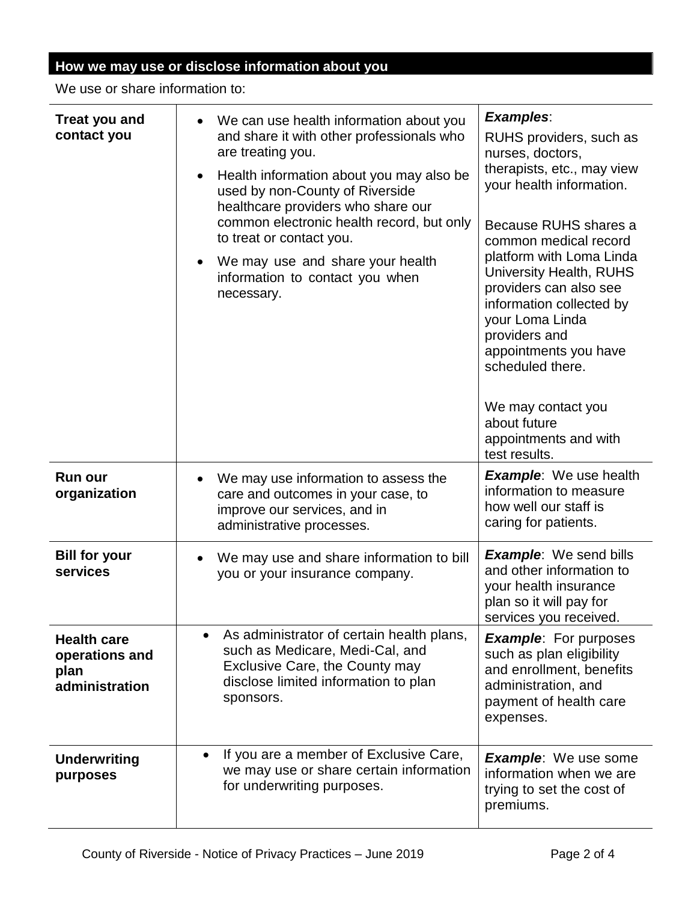# **How we may use or disclose information about you**

We use or share information to:

| <b>Treat you and</b><br>contact you                            | We can use health information about you<br>and share it with other professionals who<br>are treating you.<br>Health information about you may also be<br>used by non-County of Riverside<br>healthcare providers who share our<br>common electronic health record, but only<br>to treat or contact you.<br>We may use and share your health<br>information to contact you when<br>necessary. | <b>Examples:</b><br>RUHS providers, such as<br>nurses, doctors,<br>therapists, etc., may view<br>your health information.<br>Because RUHS shares a<br>common medical record<br>platform with Loma Linda<br>University Health, RUHS<br>providers can also see<br>information collected by<br>your Loma Linda<br>providers and<br>appointments you have<br>scheduled there.<br>We may contact you<br>about future<br>appointments and with<br>test results. |
|----------------------------------------------------------------|----------------------------------------------------------------------------------------------------------------------------------------------------------------------------------------------------------------------------------------------------------------------------------------------------------------------------------------------------------------------------------------------|-----------------------------------------------------------------------------------------------------------------------------------------------------------------------------------------------------------------------------------------------------------------------------------------------------------------------------------------------------------------------------------------------------------------------------------------------------------|
| <b>Run our</b><br>organization                                 | We may use information to assess the<br>care and outcomes in your case, to<br>improve our services, and in<br>administrative processes.                                                                                                                                                                                                                                                      | <b>Example:</b> We use health<br>information to measure<br>how well our staff is<br>caring for patients.                                                                                                                                                                                                                                                                                                                                                  |
| <b>Bill for your</b><br>services                               | We may use and share information to bill<br>you or your insurance company.                                                                                                                                                                                                                                                                                                                   | <b>Example:</b> We send bills<br>and other information to<br>your health insurance<br>plan so it will pay for<br>services you received.                                                                                                                                                                                                                                                                                                                   |
| <b>Health care</b><br>operations and<br>plan<br>administration | As administrator of certain health plans,<br>$\bullet$<br>such as Medicare, Medi-Cal, and<br>Exclusive Care, the County may<br>disclose limited information to plan<br>sponsors.                                                                                                                                                                                                             | <b>Example:</b> For purposes<br>such as plan eligibility<br>and enrollment, benefits<br>administration, and<br>payment of health care<br>expenses.                                                                                                                                                                                                                                                                                                        |
| <b>Underwriting</b><br>purposes                                | If you are a member of Exclusive Care,<br>$\bullet$<br>we may use or share certain information<br>for underwriting purposes.                                                                                                                                                                                                                                                                 | <b>Example:</b> We use some<br>information when we are<br>trying to set the cost of<br>premiums.                                                                                                                                                                                                                                                                                                                                                          |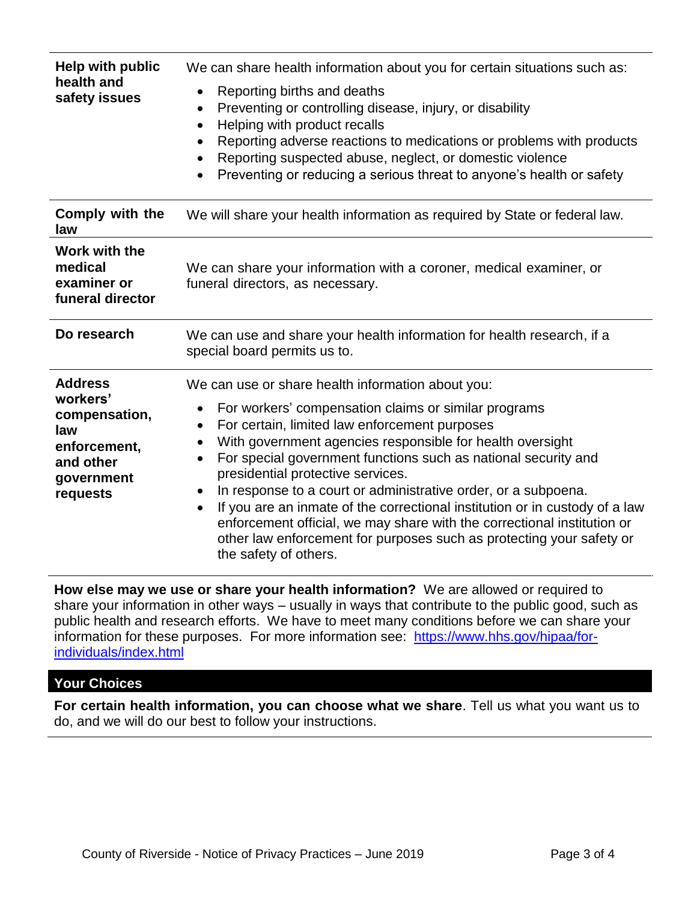| <b>Help with public</b><br>health and<br>safety issues                                                    | We can share health information about you for certain situations such as:<br>Reporting births and deaths<br>$\bullet$<br>Preventing or controlling disease, injury, or disability<br>$\bullet$<br>Helping with product recalls<br>$\bullet$<br>Reporting adverse reactions to medications or problems with products<br>$\bullet$<br>Reporting suspected abuse, neglect, or domestic violence<br>$\bullet$<br>Preventing or reducing a serious threat to anyone's health or safety<br>$\bullet$                                                                                                                                                                                                               |
|-----------------------------------------------------------------------------------------------------------|--------------------------------------------------------------------------------------------------------------------------------------------------------------------------------------------------------------------------------------------------------------------------------------------------------------------------------------------------------------------------------------------------------------------------------------------------------------------------------------------------------------------------------------------------------------------------------------------------------------------------------------------------------------------------------------------------------------|
| Comply with the<br>law                                                                                    | We will share your health information as required by State or federal law.                                                                                                                                                                                                                                                                                                                                                                                                                                                                                                                                                                                                                                   |
| Work with the<br>medical<br>examiner or<br>funeral director                                               | We can share your information with a coroner, medical examiner, or<br>funeral directors, as necessary.                                                                                                                                                                                                                                                                                                                                                                                                                                                                                                                                                                                                       |
| Do research                                                                                               | We can use and share your health information for health research, if a<br>special board permits us to.                                                                                                                                                                                                                                                                                                                                                                                                                                                                                                                                                                                                       |
| <b>Address</b><br>workers'<br>compensation,<br>law<br>enforcement,<br>and other<br>government<br>requests | We can use or share health information about you:<br>For workers' compensation claims or similar programs<br>$\bullet$<br>For certain, limited law enforcement purposes<br>٠<br>With government agencies responsible for health oversight<br>For special government functions such as national security and<br>$\bullet$<br>presidential protective services.<br>In response to a court or administrative order, or a subpoena.<br>٠<br>If you are an inmate of the correctional institution or in custody of a law<br>$\bullet$<br>enforcement official, we may share with the correctional institution or<br>other law enforcement for purposes such as protecting your safety or<br>the safety of others. |

**How else may we use or share your health information?** We are allowed or required to share your information in other ways – usually in ways that contribute to the public good, such as public health and research efforts. We have to meet many conditions before we can share your information for these purposes. For more information see: [https://www.hhs.gov/hipaa/for](https://www.hhs.gov/hipaa/for-individuals/index.html)[individuals/index.html](https://www.hhs.gov/hipaa/for-individuals/index.html)

#### **Your Choices**

**For certain health information, you can choose what we share**. Tell us what you want us to do, and we will do our best to follow your instructions.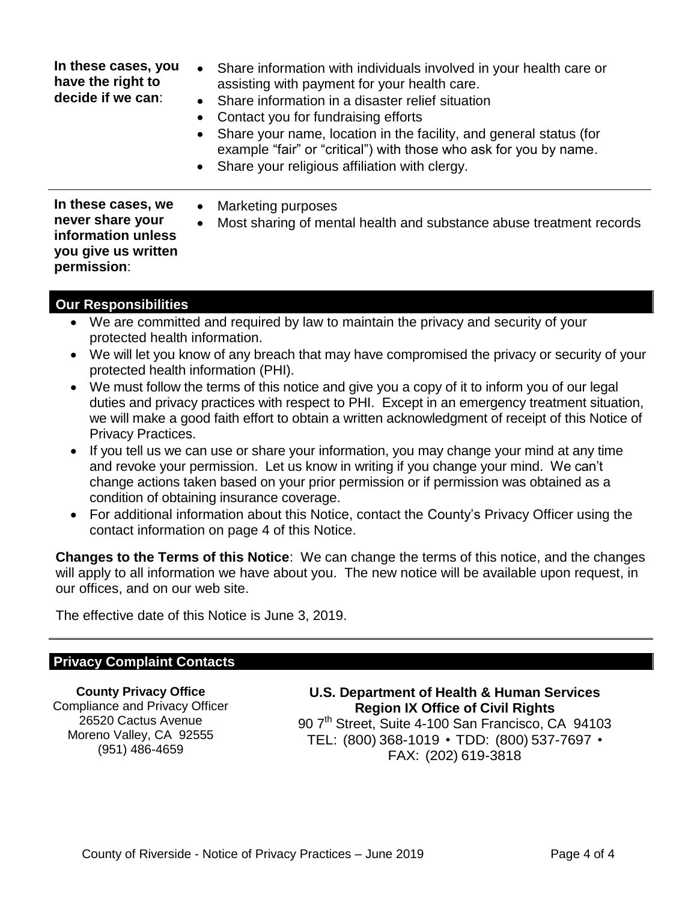| In these cases, you<br>have the right to<br>decide if we can:                                      | Share information with individuals involved in your health care or<br>$\bullet$<br>assisting with payment for your health care.<br>• Share information in a disaster relief situation<br>Contact you for fundraising efforts<br>Share your name, location in the facility, and general status (for<br>example "fair" or "critical") with those who ask for you by name.<br>• Share your religious affiliation with clergy. |
|----------------------------------------------------------------------------------------------------|----------------------------------------------------------------------------------------------------------------------------------------------------------------------------------------------------------------------------------------------------------------------------------------------------------------------------------------------------------------------------------------------------------------------------|
| In these cases, we<br>never share your<br>information unless<br>you give us written<br>permission: | Marketing purposes<br>$\bullet$<br>Most sharing of mental health and substance abuse treatment records<br>$\bullet$                                                                                                                                                                                                                                                                                                        |

### **Our Responsibilities**

- We are committed and required by law to maintain the privacy and security of your protected health information.
- We will let you know of any breach that may have compromised the privacy or security of your protected health information (PHI).
- We must follow the terms of this notice and give you a copy of it to inform you of our legal duties and privacy practices with respect to PHI. Except in an emergency treatment situation, we will make a good faith effort to obtain a written acknowledgment of receipt of this Notice of Privacy Practices.
- If you tell us we can use or share your information, you may change your mind at any time and revoke your permission. Let us know in writing if you change your mind. We can't change actions taken based on your prior permission or if permission was obtained as a condition of obtaining insurance coverage.
- For additional information about this Notice, contact the County's Privacy Officer using the contact information on page 4 of this Notice.

**Changes to the Terms of this Notice**: We can change the terms of this notice, and the changes will apply to all information we have about you. The new notice will be available upon request, in our offices, and on our web site.

The effective date of this Notice is June 3, 2019.

### **Privacy Complaint Contacts**

**County Privacy Office** Compliance and Privacy Officer 26520 Cactus Avenue Moreno Valley, CA 92555 (951) 486-4659

**U.S. Department of Health & Human Services Region IX Office of Civil Rights** 90 7<sup>th</sup> Street, Suite 4-100 San Francisco, CA 94103 TEL: (800) 368-1019 • TDD: (800) 537-7697 • FAX: (202) 619-3818